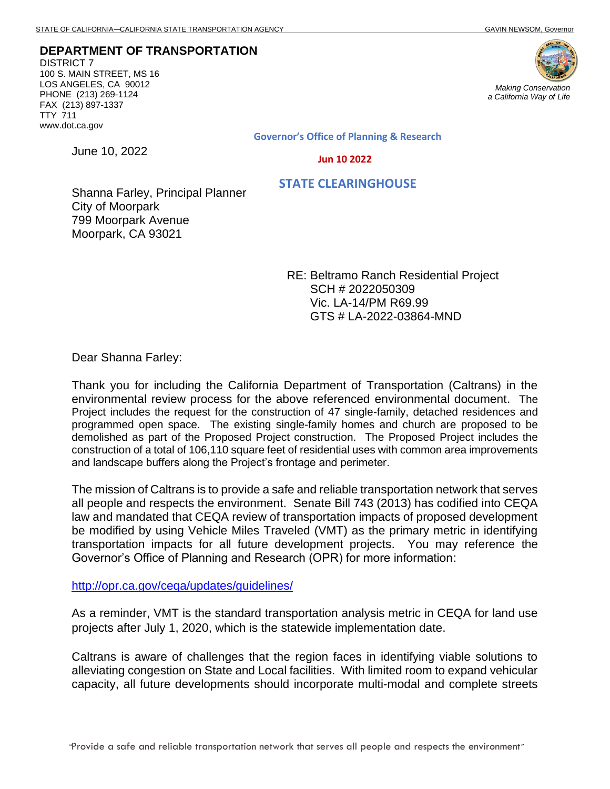**DEPARTMENT OF TRANSPORTATION** DISTRICT 7 100 S. MAIN STREET, MS 16 LOS ANGELES, CA 90012 PHONE (213) 269-1124 FAX (213) 897-1337 TTY 711 www.dot.ca.gov

June 10, 2022



*a California Way of Life*

**Governor's Office of Planning & Research**

 **Jun 10 2022**

 **STATE CLEARINGHOUSE**

Shanna Farley, Principal Planner City of Moorpark 799 Moorpark Avenue Moorpark, CA 93021

> RE: Beltramo Ranch Residential Project SCH # 2022050309 Vic. LA-14/PM R69.99 GTS # LA-2022-03864-MND

Dear Shanna Farley:

Thank you for including the California Department of Transportation (Caltrans) in the environmental review process for the above referenced environmental document. The Project includes the request for the construction of 47 single-family, detached residences and programmed open space. The existing single-family homes and church are proposed to be demolished as part of the Proposed Project construction. The Proposed Project includes the construction of a total of 106,110 square feet of residential uses with common area improvements and landscape buffers along the Project's frontage and perimeter.

The mission of Caltrans is to provide a safe and reliable transportation network that serves all people and respects the environment. Senate Bill 743 (2013) has codified into CEQA law and mandated that CEQA review of transportation impacts of proposed development be modified by using Vehicle Miles Traveled (VMT) as the primary metric in identifying transportation impacts for all future development projects. You may reference the Governor's Office of Planning and Research (OPR) for more information:

<http://opr.ca.gov/ceqa/updates/guidelines/>

As a reminder, VMT is the standard transportation analysis metric in CEQA for land use projects after July 1, 2020, which is the statewide implementation date.

Caltrans is aware of challenges that the region faces in identifying viable solutions to alleviating congestion on State and Local facilities. With limited room to expand vehicular capacity, all future developments should incorporate multi-modal and complete streets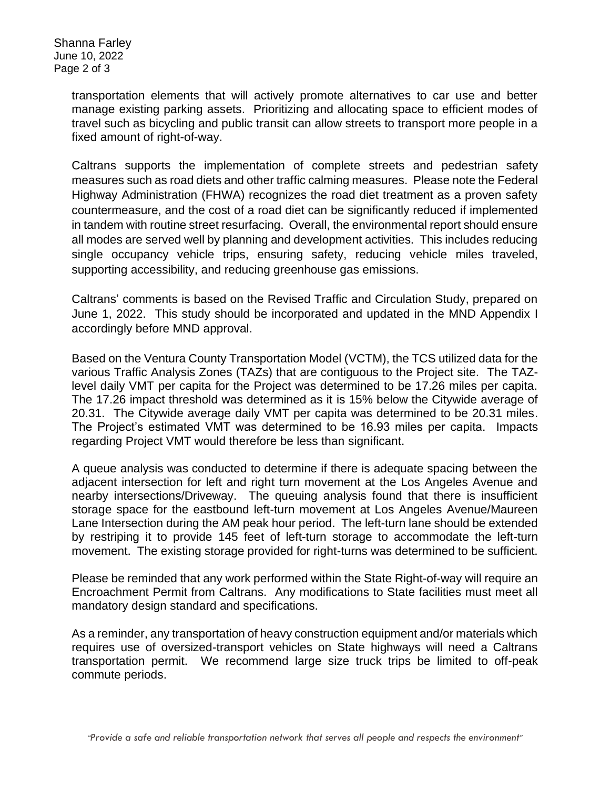Shanna Farley June 10, 2022 Page 2 of 3

> transportation elements that will actively promote alternatives to car use and better manage existing parking assets. Prioritizing and allocating space to efficient modes of travel such as bicycling and public transit can allow streets to transport more people in a fixed amount of right-of-way.

> Caltrans supports the implementation of complete streets and pedestrian safety measures such as road diets and other traffic calming measures. Please note the Federal Highway Administration (FHWA) recognizes the road diet treatment as a proven safety countermeasure, and the cost of a road diet can be significantly reduced if implemented in tandem with routine street resurfacing. Overall, the environmental report should ensure all modes are served well by planning and development activities. This includes reducing single occupancy vehicle trips, ensuring safety, reducing vehicle miles traveled, supporting accessibility, and reducing greenhouse gas emissions.

> Caltrans' comments is based on the Revised Traffic and Circulation Study, prepared on June 1, 2022. This study should be incorporated and updated in the MND Appendix I accordingly before MND approval.

> Based on the Ventura County Transportation Model (VCTM), the TCS utilized data for the various Traffic Analysis Zones (TAZs) that are contiguous to the Project site. The TAZlevel daily VMT per capita for the Project was determined to be 17.26 miles per capita. The 17.26 impact threshold was determined as it is 15% below the Citywide average of 20.31. The Citywide average daily VMT per capita was determined to be 20.31 miles. The Project's estimated VMT was determined to be 16.93 miles per capita. Impacts regarding Project VMT would therefore be less than significant.

> A queue analysis was conducted to determine if there is adequate spacing between the adjacent intersection for left and right turn movement at the Los Angeles Avenue and nearby intersections/Driveway. The queuing analysis found that there is insufficient storage space for the eastbound left-turn movement at Los Angeles Avenue/Maureen Lane Intersection during the AM peak hour period. The left-turn lane should be extended by restriping it to provide 145 feet of left-turn storage to accommodate the left-turn movement. The existing storage provided for right-turns was determined to be sufficient.

> Please be reminded that any work performed within the State Right-of-way will require an Encroachment Permit from Caltrans. Any modifications to State facilities must meet all mandatory design standard and specifications.

> As a reminder, any transportation of heavy construction equipment and/or materials which requires use of oversized-transport vehicles on State highways will need a Caltrans transportation permit. We recommend large size truck trips be limited to off-peak commute periods.